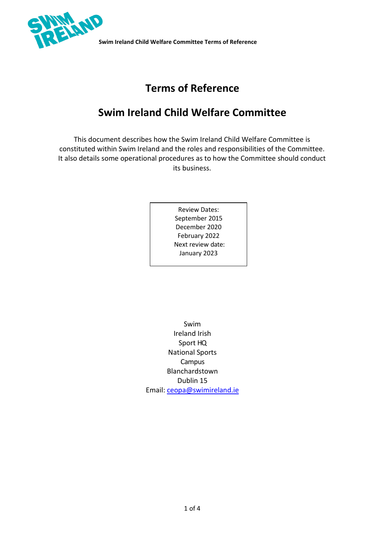

# **Terms of Reference**

# **Swim Ireland Child Welfare Committee**

This document describes how the Swim Ireland Child Welfare Committee is constituted within Swim Ireland and the roles and responsibilities of the Committee. It also details some operational procedures as to how the Committee should conduct its business.

> Review Dates: September 2015 December 2020 February 2022 Next review date: January 2023

Swim Ireland Irish Sport HQ National Sports Campus Blanchardstown Dublin 15 Email: [ceopa@swimireland.ie](mailto:ceopa@swimireland.ie)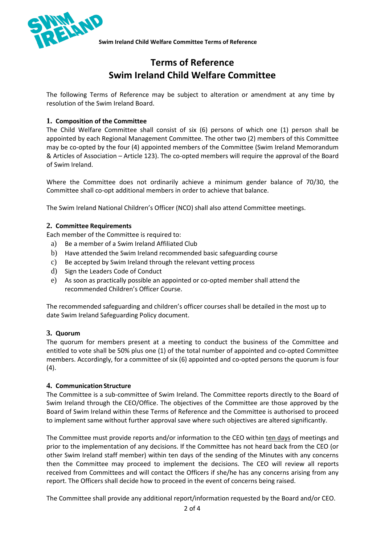

# **Terms of Reference Swim Ireland Child Welfare Committee**

The following Terms of Reference may be subject to alteration or amendment at any time by resolution of the Swim Ireland Board.

# **1. Composition of the Committee**

The Child Welfare Committee shall consist of six (6) persons of which one (1) person shall be appointed by each Regional Management Committee. The other two (2) members of this Committee may be co-opted by the four (4) appointed members of the Committee (Swim Ireland Memorandum & Articles of Association – Article 123). The co-opted members will require the approval of the Board of Swim Ireland.

Where the Committee does not ordinarily achieve a minimum gender balance of 70/30, the Committee shall co-opt additional members in order to achieve that balance.

The Swim Ireland National Children's Officer (NCO) shall also attend Committee meetings.

# **2. Committee Requirements**

Each member of the Committee is required to:

- a) Be a member of a Swim Ireland Affiliated Club
- b) Have attended the Swim Ireland recommended basic safeguarding course
- c) Be accepted by Swim Ireland through the relevant vetting process
- d) Sign the Leaders Code of Conduct
- e) As soon as practically possible an appointed or co-opted member shall attend the recommended Children's Officer Course.

The recommended safeguarding and children's officer courses shall be detailed in the most up to date Swim Ireland Safeguarding Policy document.

# **3. Quorum**

The quorum for members present at a meeting to conduct the business of the Committee and entitled to vote shall be 50% plus one (1) of the total number of appointed and co-opted Committee members. Accordingly, for a committee of six (6) appointed and co-opted persons the quorum is four (4).

### **4. Communication Structure**

The Committee is a sub-committee of Swim Ireland. The Committee reports directly to the Board of Swim Ireland through the CEO/Office. The objectives of the Committee are those approved by the Board of Swim Ireland within these Terms of Reference and the Committee is authorised to proceed to implement same without further approval save where such objectives are altered significantly.

The Committee must provide reports and/or information to the CEO within ten days of meetings and prior to the implementation of any decisions. If the Committee has not heard back from the CEO (or other Swim Ireland staff member) within ten days of the sending of the Minutes with any concerns then the Committee may proceed to implement the decisions. The CEO will review all reports received from Committees and will contact the Officers if she/he has any concerns arising from any report. The Officers shall decide how to proceed in the event of concerns being raised.

The Committee shall provide any additional report/information requested by the Board and/or CEO.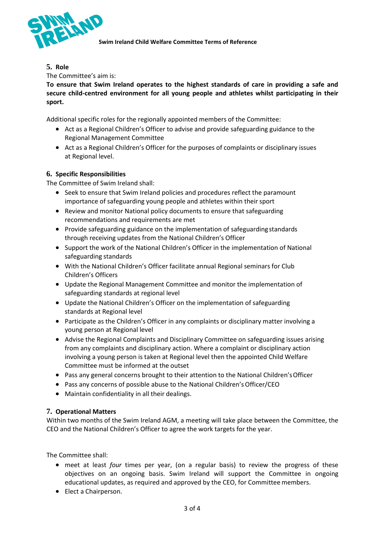

**5. Role**

The Committee's aim is:

**To ensure that Swim Ireland operates to the highest standards of care in providing a safe and secure child-centred environment for all young people and athletes whilst participating in their sport.**

Additional specific roles for the regionally appointed members of the Committee:

- Act as a Regional Children's Officer to advise and provide safeguarding guidance to the Regional Management Committee
- Act as a Regional Children's Officer for the purposes of complaints or disciplinary issues at Regional level.

### **6. Specific Responsibilities**

The Committee of Swim Ireland shall:

- Seek to ensure that Swim Ireland policies and procedures reflect the paramount importance of safeguarding young people and athletes within their sport
- Review and monitor National policy documents to ensure that safeguarding recommendations and requirements are met
- Provide safeguarding guidance on the implementation of safeguardingstandards through receiving updates from the National Children's Officer
- Support the work of the National Children's Officer in the implementation of National safeguarding standards
- With the National Children's Officer facilitate annual Regional seminars for Club Children's Officers
- Update the Regional Management Committee and monitor the implementation of safeguarding standards at regional level
- Update the National Children's Officer on the implementation of safeguarding standards at Regional level
- Participate as the Children's Officer in any complaints or disciplinary matter involving a young person at Regional level
- Advise the Regional Complaints and Disciplinary Committee on safeguarding issues arising from any complaints and disciplinary action. Where a complaint or disciplinary action involving a young person is taken at Regional level then the appointed Child Welfare Committee must be informed at the outset
- Pass any general concerns brought to their attention to the National Children's Officer
- Pass any concerns of possible abuse to the National Children's Officer/CEO
- Maintain confidentiality in all their dealings.

### **7. Operational Matters**

Within two months of the Swim Ireland AGM, a meeting will take place between the Committee, the CEO and the National Children's Officer to agree the work targets for the year.

The Committee shall:

- meet at least *four* times per year, (on a regular basis) to review the progress of these objectives on an ongoing basis. Swim Ireland will support the Committee in ongoing educational updates, as required and approved by the CEO, for Committee members.
- Elect a Chairperson.